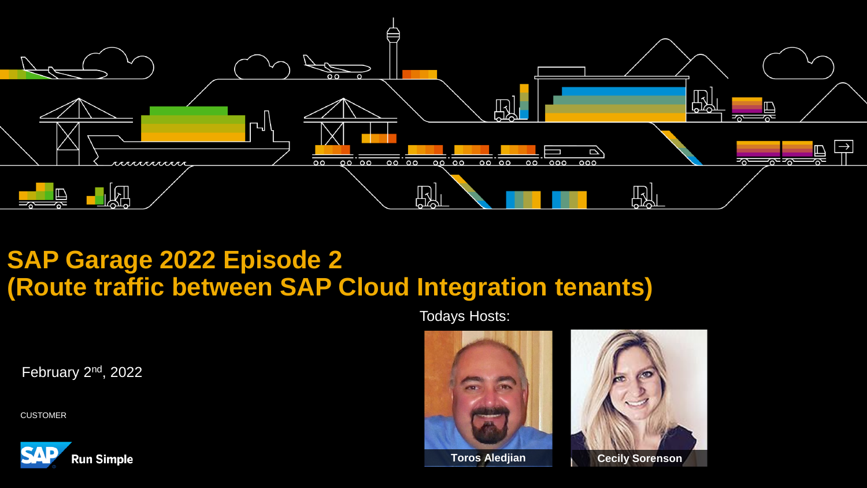

# **SAP Garage 2022 Episode 2 (Route traffic between SAP Cloud Integration tenants)**

Todays Hosts:

February 2nd, 2022

CUSTOMER





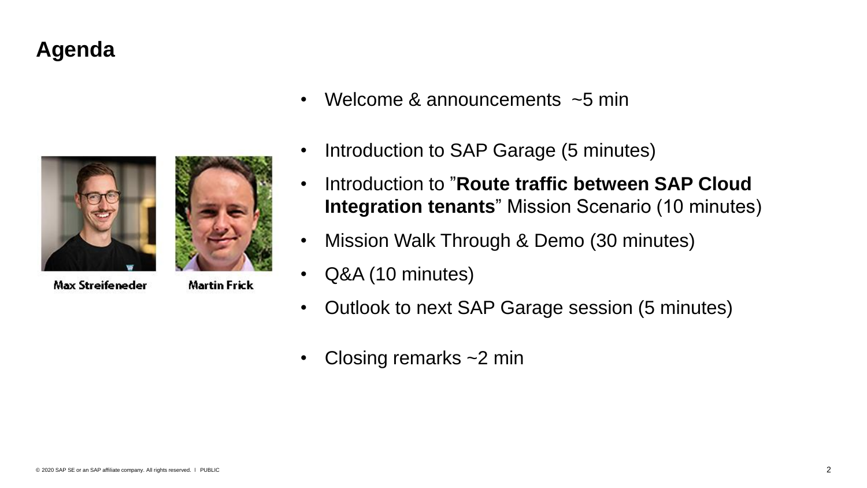# **Agenda**



**Max Streifeneder** 

**Martin Frick** 

- Welcome & announcements  $\sim$ 5 min
- Introduction to SAP Garage (5 minutes)
- Introduction to "**Route traffic between SAP Cloud Integration tenants**" Mission Scenario (10 minutes)
- Mission Walk Through & Demo (30 minutes)
- Q&A (10 minutes)
- Outlook to next SAP Garage session (5 minutes)
- Closing remarks  $\sim$  2 min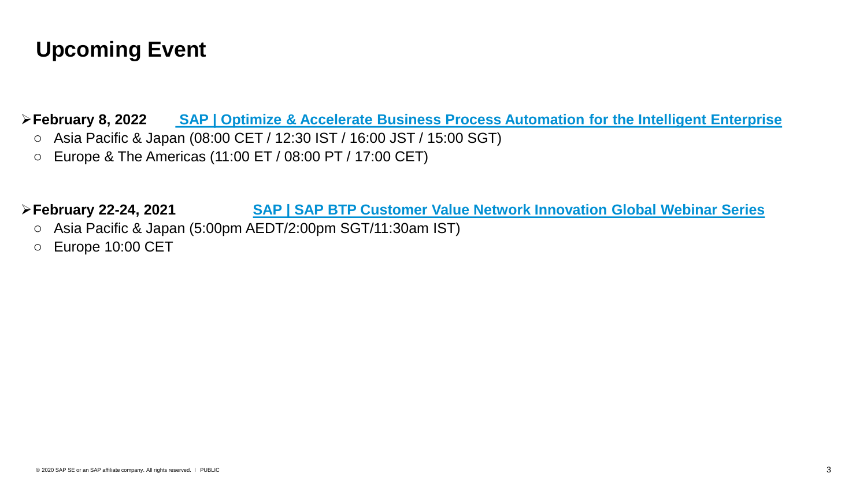# **Upcoming Event**

➢**February 8, 2022 [SAP | Optimize & Accelerate Business Process Automation for the Intelligent Enterprise](https://webinars.sap.com/eur/2022-02-22-sap-ie-btp-irpa-crave-webinar/en/home)**

- o Asia Pacific & Japan (08:00 CET / 12:30 IST / 16:00 JST / 15:00 SGT)
- o Europe & The Americas (11:00 ET / 08:00 PT / 17:00 CET)

➢**February 22-24, 2021 [SAP | SAP BTP Customer Value Network Innovation Global Webinar Series](https://webinars.sap.com/eur/2022-02-222324-sap-ie-btp-cvn-innovation-webinar-global/en/home)**

- o Asia Pacific & Japan (5:00pm AEDT/2:00pm SGT/11:30am IST)
- o Europe 10:00 CET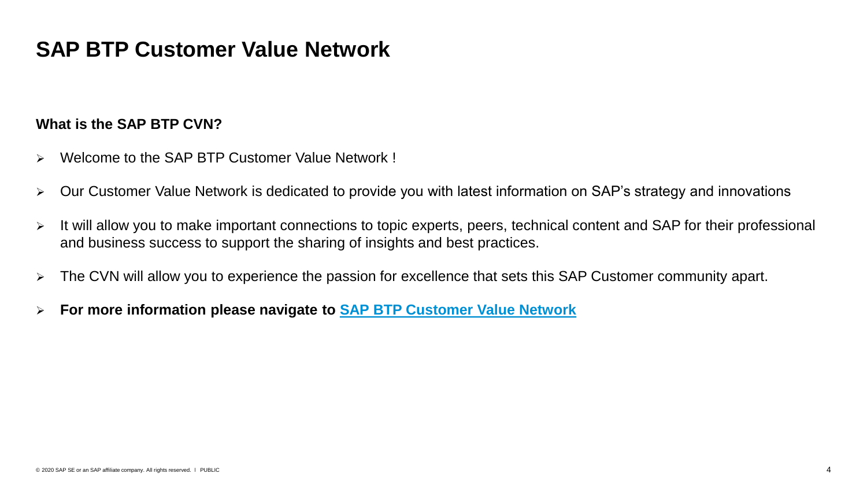### **SAP BTP Customer Value Network**

#### **What is the SAP BTP CVN?**

- ➢ Welcome to the SAP BTP Customer Value Network !
- ➢ Our Customer Value Network is dedicated to provide you with latest information on SAP's strategy and innovations
- ➢ It will allow you to make important connections to topic experts, peers, technical content and SAP for their professional and business success to support the sharing of insights and best practices.
- ➢ The CVN will allow you to experience the passion for excellence that sets this SAP Customer community apart.
- ➢ **For more information please navigate to [SAP BTP Customer Value Network](https://webinars.sap.com/2021-12-31-sap-btp-customer-value-network-global/en/home)**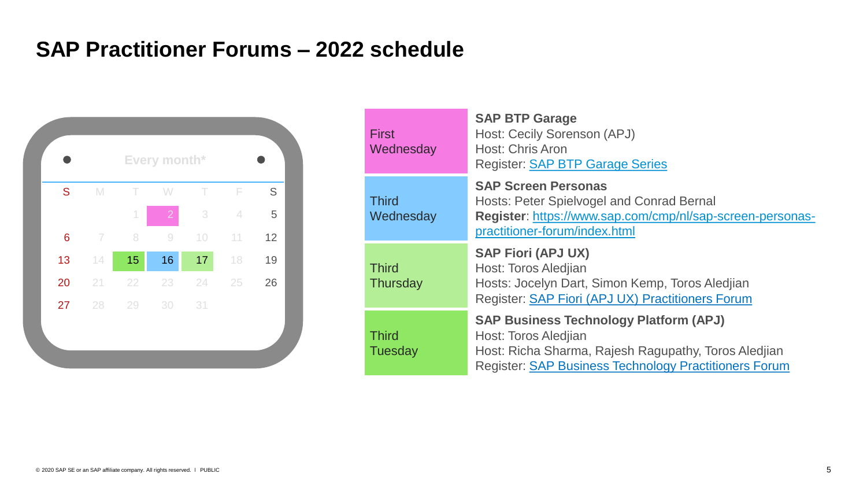# **SAP Practitioner Forums – 2022 schedule**



| <b>First</b><br>Wednesday      | <b>SAP BTP Garage</b><br>Host: Cecily Sorenson (APJ)<br><b>Host: Chris Aron</b><br><b>Register: SAP BTP Garage Series</b>                                                                     |
|--------------------------------|-----------------------------------------------------------------------------------------------------------------------------------------------------------------------------------------------|
| <b>Third</b><br>Wednesday      | <b>SAP Screen Personas</b><br>Hosts: Peter Spielvogel and Conrad Bernal<br>Register: https://www.sap.com/cmp/nl/sap-screen-personas-<br>practitioner-forum/index.html                         |
| <b>Third</b><br>Thursday       | <b>SAP Fiori (APJ UX)</b><br>Host: Toros Aledjian<br>Hosts: Jocelyn Dart, Simon Kemp, Toros Aledjian<br>Register: SAP Fiori (APJ UX) Practitioners Forum                                      |
| <b>Third</b><br><b>Tuesday</b> | <b>SAP Business Technology Platform (APJ)</b><br>Host: Toros Aledjian<br>Host: Richa Sharma, Rajesh Ragupathy, Toros Aledjian<br><b>Register: SAP Business Technology Practitioners Forum</b> |